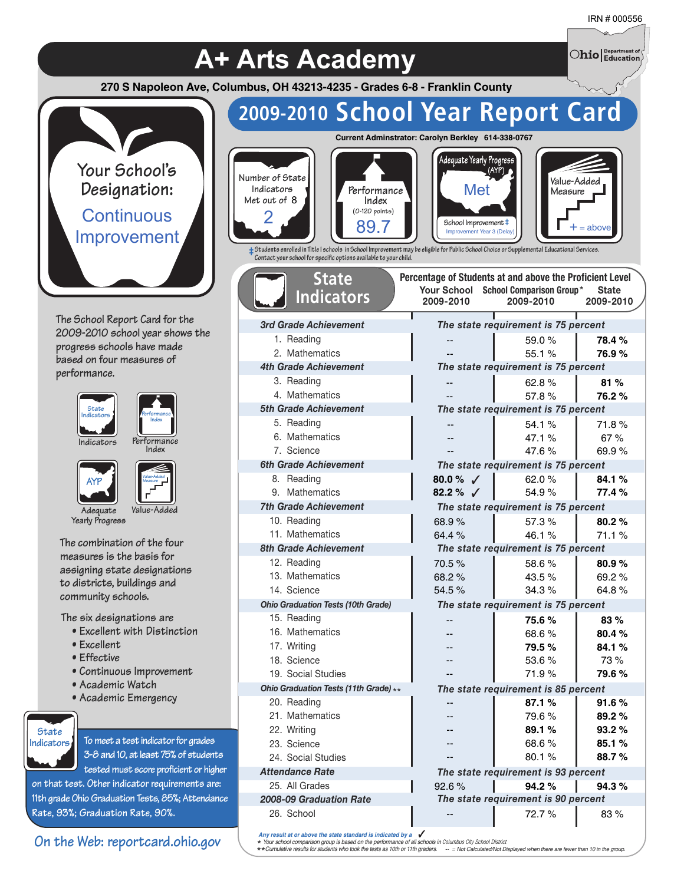$\bigcirc$ hio $\big\vert$  Department of

**A+ Arts Academy 270 S Napoleon Ave, Columbus, OH 43213-4235 - Grades 6-8 - Franklin County**



**The School Report Card for the 2009-2010 school year shows the progress schools have made based on four measures of performance.**





**Performance**



**Value-Added Measure**

**Adequate Value-Added Yearly Progress**

**The combination of the four measures is the basis for assigning state designations to districts, buildings and community schools.**

**The six designations are**

- **Excellent with Distinction**
- **Excellent**
- **Effective**
- **Continuous Improvement**
- **Academic Watch**
- **Academic Emergency**



**To meet a test indicator for grades 3-8 and 10, at least 75% of students tested must score proficient or higher**

**on that test. Other indicator requirements are: 11th grade Ohio Graduation Tests, 85%; Attendance Rate, 93%; Graduation Rate, 90%.**

### **On the Web: reportcard.ohio.gov**

| 2009-2010 School Year Report Card                                                                                                                                                                                                                                                                                     |                                                                                       |                                                                                                          |                           |
|-----------------------------------------------------------------------------------------------------------------------------------------------------------------------------------------------------------------------------------------------------------------------------------------------------------------------|---------------------------------------------------------------------------------------|----------------------------------------------------------------------------------------------------------|---------------------------|
|                                                                                                                                                                                                                                                                                                                       | Current Adminstrator: Carolyn Berkley 614-338-0767                                    |                                                                                                          |                           |
| Number of State<br>Indicators<br>Performance<br>Met out of 8<br>Index<br>$(0-120$ points)<br>89.7<br>+ Students enrolled in Title I schools in School Improvement may be eligible for Public School Choice or Supplemental Educational Services.<br>Contact your school for specific options available to your child. | Adequate Yearly Progress<br>Met<br>School Improvement ‡<br>Improvement Year 3 (Delay) | Value-Added<br>Measure                                                                                   | $=$ above                 |
| <b>State</b><br><b>Indicators</b>                                                                                                                                                                                                                                                                                     | Your School<br>2009-2010                                                              | Percentage of Students at and above the Proficient Level<br><b>School Comparison Group*</b><br>2009-2010 | <b>State</b><br>2009-2010 |
| 3rd Grade Achievement                                                                                                                                                                                                                                                                                                 |                                                                                       | The state requirement is 75 percent                                                                      |                           |
| 1. Reading                                                                                                                                                                                                                                                                                                            |                                                                                       | 59.0%                                                                                                    | 78.4%                     |
| 2. Mathematics                                                                                                                                                                                                                                                                                                        |                                                                                       | 55.1%                                                                                                    | 76.9%                     |
| <b>4th Grade Achievement</b>                                                                                                                                                                                                                                                                                          |                                                                                       | The state requirement is 75 percent                                                                      |                           |
| 3. Reading                                                                                                                                                                                                                                                                                                            |                                                                                       | 62.8%                                                                                                    | 81%                       |
| 4. Mathematics                                                                                                                                                                                                                                                                                                        |                                                                                       | 57.8%                                                                                                    | 76.2 %                    |
| <b>5th Grade Achievement</b>                                                                                                                                                                                                                                                                                          |                                                                                       | The state requirement is 75 percent                                                                      |                           |
| 5. Reading                                                                                                                                                                                                                                                                                                            |                                                                                       | 54.1%                                                                                                    | 71.8 %                    |
| 6. Mathematics                                                                                                                                                                                                                                                                                                        |                                                                                       | 47.1%                                                                                                    | 67%                       |
| 7. Science                                                                                                                                                                                                                                                                                                            |                                                                                       | 47.6%                                                                                                    | 69.9 %                    |
| 6th Grade Achievement                                                                                                                                                                                                                                                                                                 |                                                                                       | The state requirement is 75 percent                                                                      |                           |
| 8. Reading<br>9. Mathematics                                                                                                                                                                                                                                                                                          | 80.0 % $\sqrt{ }$<br>82.2 % $\sqrt{ }$                                                | 62.0 $%$<br>54.9%                                                                                        | 84.1%<br>77.4 %           |
| <b>7th Grade Achievement</b>                                                                                                                                                                                                                                                                                          |                                                                                       | The state requirement is 75 percent                                                                      |                           |
| 10. Reading                                                                                                                                                                                                                                                                                                           | 68.9%                                                                                 | 57.3%                                                                                                    | 80.2%                     |
| 11. Mathematics                                                                                                                                                                                                                                                                                                       | 64.4%                                                                                 | 46.1%                                                                                                    | 71.1%                     |
| <b>8th Grade Achievement</b>                                                                                                                                                                                                                                                                                          |                                                                                       | The state requirement is 75 percent                                                                      |                           |
| 12. Reading                                                                                                                                                                                                                                                                                                           | 70.5%                                                                                 | 58.6%                                                                                                    | 80.9%                     |
| 13. Mathematics                                                                                                                                                                                                                                                                                                       | 68.2%                                                                                 | 43.5%                                                                                                    | 69.2%                     |
| 14. Science                                                                                                                                                                                                                                                                                                           | 54.5%                                                                                 | 34.3%                                                                                                    | 64.8%                     |
| <b>Ohio Graduation Tests (10th Grade)</b>                                                                                                                                                                                                                                                                             |                                                                                       | The state requirement is 75 percent                                                                      |                           |
| 15. Reading                                                                                                                                                                                                                                                                                                           |                                                                                       | 75.6%                                                                                                    | 83%                       |
| 16. Mathematics                                                                                                                                                                                                                                                                                                       |                                                                                       | 68.6%                                                                                                    | 80.4%                     |
| 17. Writing                                                                                                                                                                                                                                                                                                           |                                                                                       | 79.5%                                                                                                    | 84.1 %                    |
| 18. Science                                                                                                                                                                                                                                                                                                           |                                                                                       | 53.6 %                                                                                                   | 73 %                      |
| 19. Social Studies                                                                                                                                                                                                                                                                                                    |                                                                                       | 71.9%                                                                                                    | 79.6 %                    |
| Ohio Graduation Tests (11th Grade) **                                                                                                                                                                                                                                                                                 |                                                                                       | The state requirement is 85 percent                                                                      |                           |
| 20. Reading                                                                                                                                                                                                                                                                                                           |                                                                                       | 87.1%                                                                                                    | 91.6%                     |
| 21. Mathematics                                                                                                                                                                                                                                                                                                       |                                                                                       | 79.6%                                                                                                    | 89.2%                     |
| 22. Writing<br>23. Science                                                                                                                                                                                                                                                                                            |                                                                                       | 89.1%<br>68.6%                                                                                           | 93.2%                     |
| 24. Social Studies                                                                                                                                                                                                                                                                                                    |                                                                                       | 80.1%                                                                                                    | 85.1%<br>88.7%            |
| <b>Attendance Rate</b>                                                                                                                                                                                                                                                                                                |                                                                                       | The state requirement is 93 percent                                                                      |                           |
| 25. All Grades                                                                                                                                                                                                                                                                                                        | 92.6%                                                                                 | 94.2%                                                                                                    | 94.3%                     |
| <b>2008-09 Graduation Rate</b>                                                                                                                                                                                                                                                                                        |                                                                                       | The state requirement is 90 percent                                                                      |                           |
| 26. School                                                                                                                                                                                                                                                                                                            |                                                                                       | 72.7 %                                                                                                   | 83 %                      |
| Any result at or above the state standard is indicated by a $\sqrt{\phantom{a}}$<br>* Your school comparison group is based on the performance of all schools in Columbus City School District                                                                                                                        |                                                                                       |                                                                                                          |                           |

\* Your school comparison group is based on the performance of all schools in Columbus City School District<br>\*\*Cumulative results for students who took the tests as 10th or 11th graders. = Not Calculated/Not Displaye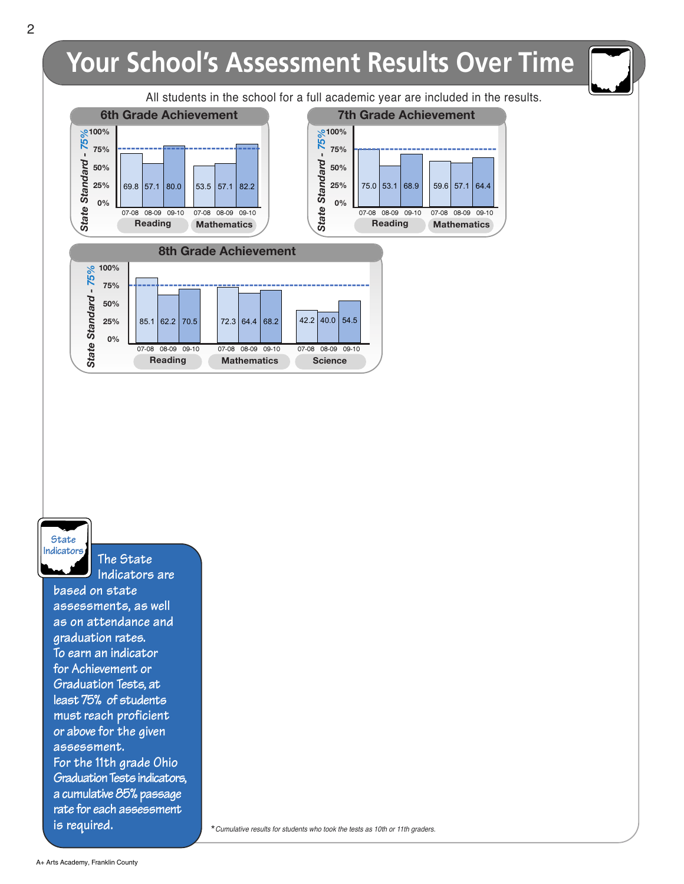# **Your School's Assessment Results Over Time**



## **State Indicators**

**The State Indicators are**

**based on state assessments, as well as on attendance and graduation rates. To earn an indicator for Achievement or Graduation Tests, at least 75% of students must reach proficient or above for the given assessment. For the 11th grade Ohio** Graduation Tests indicators, **a cumulative 85% passage rate for each assessment is required.**

\*Cumulative results for students who took the tests as 10th or 11th graders.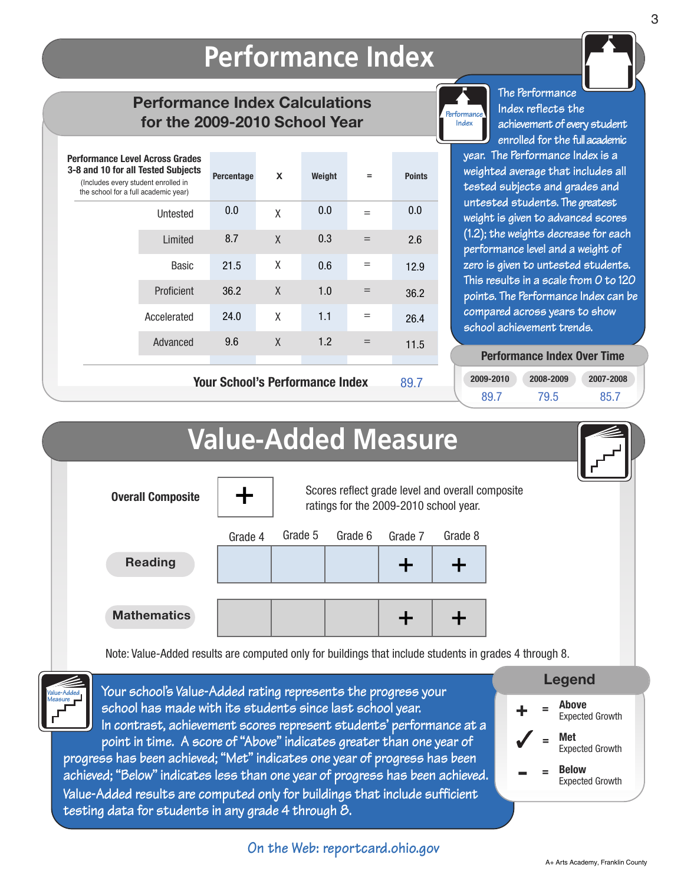## **Performance Index**

## **Performance Index Calculations for the 2009-2010 School Year**

| <b>Performance Level Across Grades</b><br>3-8 and 10 for all Tested Subjects<br>(Includes every student enrolled in<br>the school for a full academic year) |              | Percentage                             | X | Weight | $=$ | <b>Points</b> |
|-------------------------------------------------------------------------------------------------------------------------------------------------------------|--------------|----------------------------------------|---|--------|-----|---------------|
|                                                                                                                                                             | Untested     | 0.0                                    | X | 0.0    | $=$ | 0.0           |
|                                                                                                                                                             | Limited      | 8.7                                    | X | 0.3    | $=$ | 2.6           |
|                                                                                                                                                             | <b>Basic</b> | 21.5                                   | X | 0.6    | $=$ | 12.9          |
|                                                                                                                                                             | Proficient   | 36.2                                   | X | 1.0    | $=$ | 36.2          |
|                                                                                                                                                             | Accelerated  | 24.0                                   | X | 1.1    | $=$ | 26.4          |
|                                                                                                                                                             | Advanced     | 9.6                                    | X | 1.2    | $=$ | 11.5          |
|                                                                                                                                                             |              | <b>Your School's Performance Index</b> |   |        |     | 89.7          |



**The Performance Index reflects the achievement of every student enrolled for the fullacademic**

**year. The Performance Index is a weighted average that includes all tested subjects and grades and untested students. The greatest weight is given to advanced scores (1.2); the weights decrease for each performance level and a weight of zero is given to untested students. This results in a scale from 0 to 120 points. The Performance Index can be compared across years to show school achievement trends.**

#### **Performance Index Over Time Performance Index Over Time**

| 2009-2010 | 2008-2009 | 2007-2008 |  |  |
|-----------|-----------|-----------|--|--|
| 89.7      | 79.5      | 85.7      |  |  |



**A+ Arts Academy, Franklin County**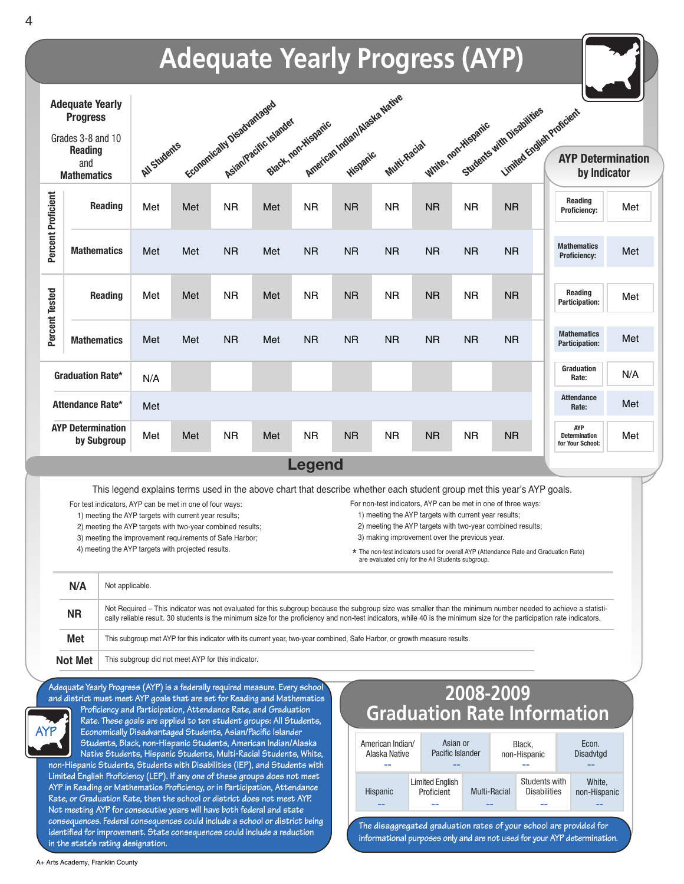

**in the state's rating designation.**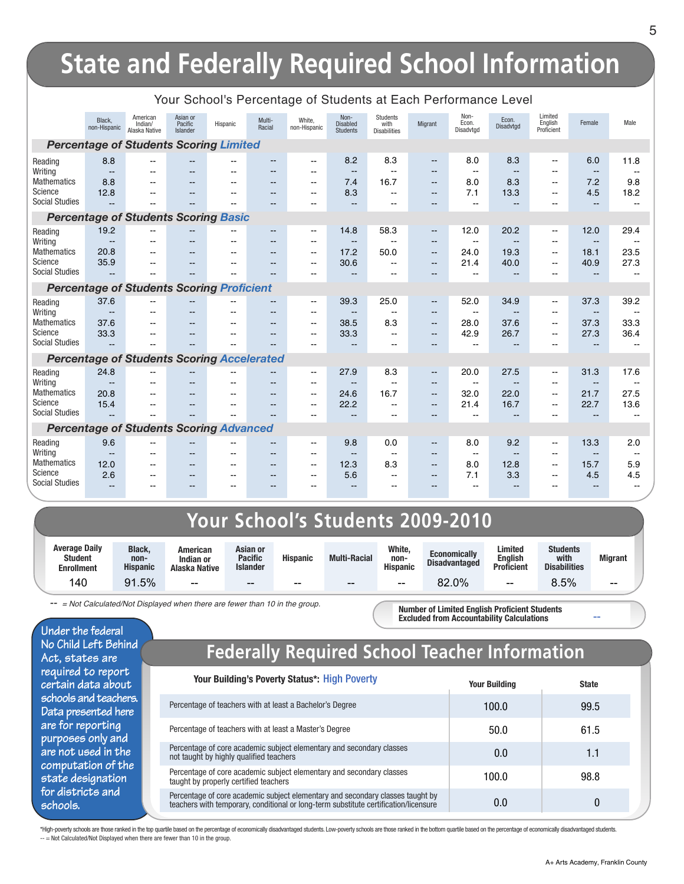|                                          |                                          |                                                   |                                 |                       |                                    | Tour Scribbi's Fercentage or Students at Each Ferionnance Lever |                                            |                                           |                                                      |                                          |                                         |                                                                      |                                          |                                  |
|------------------------------------------|------------------------------------------|---------------------------------------------------|---------------------------------|-----------------------|------------------------------------|-----------------------------------------------------------------|--------------------------------------------|-------------------------------------------|------------------------------------------------------|------------------------------------------|-----------------------------------------|----------------------------------------------------------------------|------------------------------------------|----------------------------------|
|                                          | Black,<br>non-Hispanic                   | American<br>Indian/<br>Alaska Native              | Asian or<br>Pacific<br>Islander | Hispanic              | Multi-<br>Racial                   | White,<br>non-Hispanic                                          | Non-<br><b>Disabled</b><br><b>Students</b> | Students<br>with<br><b>Disabilities</b>   | Migrant                                              | Non-<br>Econ.<br>Disadvtgd               | Econ.<br>Disadvtgd                      | Limited<br>English<br>Proficient                                     | Female                                   | Male                             |
|                                          |                                          | <b>Percentage of Students Scoring Limited</b>     |                                 |                       |                                    |                                                                 |                                            |                                           |                                                      |                                          |                                         |                                                                      |                                          |                                  |
| Reading<br>Writing                       | 8.8<br>$\overline{\phantom{a}}$          | $\overline{\phantom{a}}$<br>$-$                   | --                              |                       | $-$<br>--                          | $- -$<br>$- -$                                                  | 8.2<br>$\overline{\phantom{a}}$            | 8.3<br>--                                 | $\overline{\phantom{a}}$<br>$-$                      | 8.0<br>$\sim$                            | 8.3<br>$-$                              | $\mathbf{u}$<br>$-$                                                  | 6.0<br>$\qquad \qquad -$                 | 11.8                             |
| <b>Mathematics</b><br>Science            | 8.8<br>12.8                              | $-$                                               | $-$                             | $-$                   | $\overline{\phantom{a}}$           | $\sim$                                                          | 7.4<br>8.3                                 | 16.7                                      | $\overline{\phantom{a}}$                             | 8.0<br>7.1                               | 8.3<br>13.3                             | $\mathbf{u}$                                                         | 7.2<br>4.5                               | 9.8<br>18.2                      |
| <b>Social Studies</b>                    |                                          | $-$<br>--                                         | $- -$<br>$-$                    | $-$<br>$\overline{a}$ | $-$<br>$-$                         | $- -$<br>$-1$                                                   | $\overline{a}$                             | $\overline{\phantom{a}}$<br>$-$           | $\qquad \qquad -$<br>$-$                             | $\overline{\phantom{a}}$                 | $\sim$                                  | $-$<br>$-$                                                           | $\sim$                                   |                                  |
|                                          |                                          | <b>Percentage of Students Scoring Basic</b>       |                                 |                       |                                    |                                                                 |                                            |                                           |                                                      |                                          |                                         |                                                                      |                                          |                                  |
| Reading<br>Writing                       | 19.2<br>$-$                              | --                                                | $\overline{\phantom{a}}$        |                       | $\overline{a}$<br>$-$              | --<br>$-$                                                       | 14.8<br>$-$                                | 58.3<br>--                                | $\qquad \qquad \qquad -$<br>$-$                      | 12.0<br>$\mathbf{u}$                     | 20.2<br>$-$                             | $\overline{\phantom{a}}$<br>$\overline{\phantom{a}}$                 | 12.0<br>$\overline{\phantom{a}}$         | 29.4                             |
| <b>Mathematics</b><br>Science            | 20.8<br>35.9                             | --                                                | $-$<br>--                       | $-$                   | --<br>--                           | $\sim$ $\sim$<br>$\overline{a}$                                 | 17.2<br>30.6                               | 50.0<br>--                                | $-$<br>$-$                                           | 24.0<br>21.4                             | 19.3<br>40.0                            | $\mathbf{u}$<br>$\sim$                                               | 18.1<br>40.9                             | 23.5<br>27.3                     |
| <b>Social Studies</b>                    |                                          |                                                   | --                              |                       |                                    | $\overline{a}$                                                  | $\sim$                                     |                                           | $-$                                                  | $\sim$                                   | $\overline{a}$                          | $\sim$                                                               | $\sim$                                   |                                  |
|                                          |                                          | <b>Percentage of Students Scoring Proficient</b>  |                                 |                       |                                    |                                                                 |                                            |                                           |                                                      |                                          |                                         |                                                                      |                                          |                                  |
| Reading<br>Writing                       | 37.6<br>$\overline{\phantom{a}}$         | $-$                                               | $- -$<br>$\overline{a}$         | ۰-<br>$\sim$          | $-$<br>$-$                         | --<br>$-1$                                                      | 39.3<br>$\sim$ $\sim$                      | 25.0<br>$\sim$                            | $\overline{\phantom{m}}$<br>$- -$                    | 52.0<br>$\overline{\phantom{a}}$         | 34.9<br>$-$                             | $\overline{\phantom{a}}$<br>$\sim$                                   | 37.3<br>$\sim$                           | 39.2<br>$\overline{\phantom{a}}$ |
| <b>Mathematics</b><br>Science            | 37.6<br>33.3                             | $-$<br>--                                         | $- -$<br>$-$                    | $- -$<br>--           | $-$<br>$-$                         | $- -$<br>$-$                                                    | 38.5<br>33.3                               | 8.3<br>$-1$                               | $\qquad \qquad -$<br>$\qquad \qquad -$               | 28.0<br>42.9                             | 37.6<br>26.7                            | $\mathbf{u}$<br>$-$                                                  | 37.3<br>27.3                             | 33.3<br>36.4                     |
| <b>Social Studies</b>                    | $\sim$                                   | --                                                | $\overline{a}$                  | --                    |                                    | $-$                                                             | --                                         | --                                        | $-$                                                  |                                          |                                         |                                                                      | --                                       |                                  |
|                                          |                                          | <b>Percentage of Students Scoring Accelerated</b> |                                 |                       |                                    |                                                                 |                                            |                                           |                                                      |                                          |                                         |                                                                      |                                          |                                  |
| Reading                                  | 24.8                                     |                                                   |                                 |                       |                                    | $- -$                                                           | 27.9                                       | 8.3                                       | $\overline{\phantom{a}}$                             | 20.0                                     | 27.5                                    | $\overline{\phantom{a}}$                                             | 31.3                                     | 17.6                             |
| Writing<br><b>Mathematics</b><br>Science | $\overline{\phantom{a}}$<br>20.8<br>15.4 | $-1$<br>$-$                                       | $-$<br>$-$                      | --<br>--              | $\sim$<br>$\overline{\phantom{a}}$ | --<br>$- -$<br>$- -$                                            | $\overline{\phantom{a}}$<br>24.6<br>22.2   | $\overline{\phantom{a}}$<br>16.7<br>$- -$ | $-$<br>$\overline{\phantom{a}}$<br>$\qquad \qquad -$ | $\overline{\phantom{a}}$<br>32.0<br>21.4 | 22.0<br>16.7                            | $\overline{\phantom{a}}$<br>$\mathbf{u}$<br>$\overline{\phantom{a}}$ | $\overline{\phantom{a}}$<br>21.7<br>22.7 | 27.5<br>13.6                     |
| <b>Social Studies</b>                    |                                          | $-$                                               | $\overline{a}$                  | $-$                   | $-$                                | $- -$                                                           | $-$                                        | $- -$                                     | $-$                                                  | $\overline{a}$                           | $\qquad \qquad -$                       | $-$                                                                  | $\overline{\phantom{a}}$                 |                                  |
|                                          |                                          | <b>Percentage of Students Scoring Advanced</b>    |                                 |                       |                                    |                                                                 |                                            |                                           |                                                      |                                          |                                         |                                                                      |                                          |                                  |
| Reading                                  | 9.6                                      | --                                                | $\overline{a}$                  | $-1$                  |                                    | $- -$                                                           | 9.8                                        | 0.0                                       | $\overline{\phantom{a}}$                             | 8.0                                      | 9.2                                     | $\overline{\phantom{a}}$                                             | 13.3                                     | 2.0                              |
| Writing<br><b>Mathematics</b><br>Science | $\overline{a}$<br>12.0<br>2.6            | $\sim$<br>$-$                                     | $\overline{a}$<br>$-$<br>--     | $-1$<br>--            | $\sim$<br>$-$                      | $-1$<br>$- -$                                                   | $-$<br>12.3<br>5.6                         | $\overline{\phantom{a}}$<br>8.3           | $\qquad \qquad -$<br>$\qquad \qquad -$               | $\overline{\phantom{a}}$<br>8.0<br>7.1   | $\overline{\phantom{a}}$<br>12.8<br>3.3 | $\sim$<br>$\mathbf{u}$                                               | $\overline{\phantom{a}}$<br>15.7<br>4.5  | 5.9<br>4.5                       |
| <b>Social Studies</b>                    | $- -$                                    |                                                   |                                 |                       | $-$<br>$-$                         | $-$<br>--                                                       | $\overline{\phantom{a}}$                   | $-$<br>$-$                                | $-$                                                  |                                          |                                         | $\overline{\phantom{a}}$                                             | $\overline{\phantom{a}}$                 | $\overline{\phantom{a}}$         |

#### Your School's Percentage of Students at Each Performance Level

## **Your School's Students 2009-2010**

| <b>Average Daily</b><br><b>Student</b><br><b>Enrollment</b> | <b>Black.</b><br>non-<br><b>Hispanic</b> | American<br>Indian or<br>Alaska Native | Asian or<br><b>Pacific</b><br><b>Islander</b> | <b>Hispanic</b> | <b>Multi-Racial</b> | White,<br>non-<br><b>Hispanic</b> | <b>Economically</b><br><b>Disadvantaged</b> | Limited<br><b>English</b><br><b>Proficient</b> | <b>Students</b><br>with<br><b>Disabilities</b> | <b>Migrant</b> |
|-------------------------------------------------------------|------------------------------------------|----------------------------------------|-----------------------------------------------|-----------------|---------------------|-----------------------------------|---------------------------------------------|------------------------------------------------|------------------------------------------------|----------------|
| 40                                                          | . 5%                                     | $- -$                                  | $- -$                                         | $- -$           | $- -$               | $- -$                             | 82.0%                                       | $- -$                                          | $5.5\%$                                        | $- -$          |

*-- = Not Calculated/Not Displayed when there are fewer than 10 in the group.*

**Under the federal No Child Left Behind Act, states are required to report certain data about schools and teachers. Data presented here are for reporting purposes only and are not used in the computation of the state designation for districts and schools.**

## **Federally Required School Teacher Information**

**Number of Limited English Proficient Students Excluded from Accountability Calculations**

| Your Building's Poverty Status*: High Poverty                                                                                                                          | <b>Your Building</b> | <b>State</b> |
|------------------------------------------------------------------------------------------------------------------------------------------------------------------------|----------------------|--------------|
| Percentage of teachers with at least a Bachelor's Degree                                                                                                               | 100.0                | 99.5         |
| Percentage of teachers with at least a Master's Degree                                                                                                                 | 50.0                 | 61.5         |
| Percentage of core academic subject elementary and secondary classes<br>not taught by highly qualified teachers                                                        | 0.0                  | 1.1          |
| Percentage of core academic subject elementary and secondary classes<br>taught by properly certified teachers                                                          | 100.0                | 98.8         |
| Percentage of core academic subject elementary and secondary classes taught by<br>teachers with temporary, conditional or long-term substitute certification/licensure | 0.0                  | 0            |

\*High-poverty schools are those ranked in the top quartile based on the percentage of economically disadvantaged students. Low-poverty schools are those ranked in the bottom quartile based on the percentage of economically -- = Not Calculated/Not Displayed when there are fewer than 10 in the group.

**--**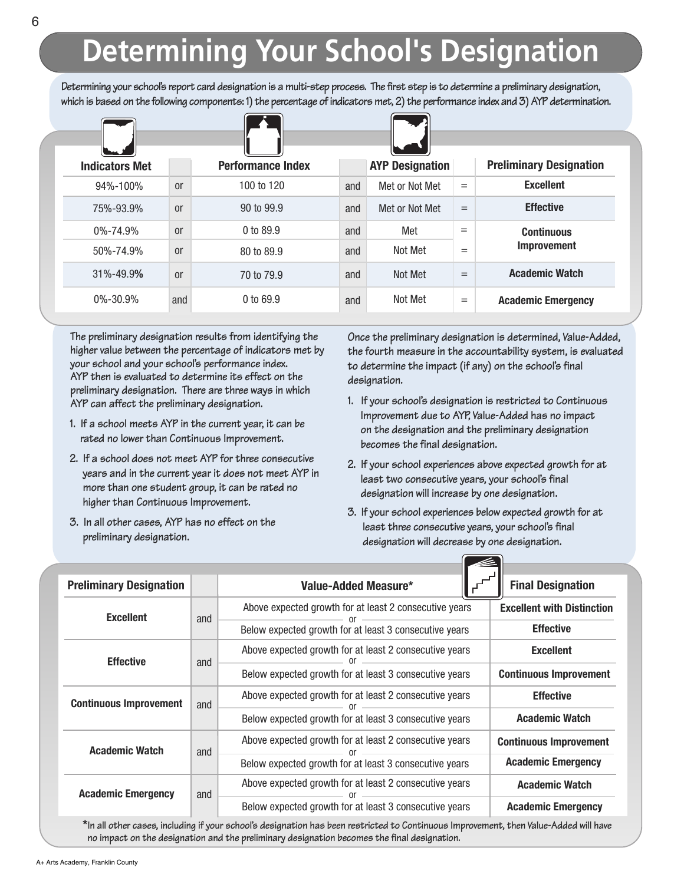# **Determining Your School's Designation**

Determining your school's report card designation is a multi-step process. The first step is to determine a preliminary designation, which is based on the following components: 1) the percentage of indicators met, 2) the performance index and 3) AYP determination.

| <b>Indicators Met</b> |               | <b>Performance Index</b> |     | <b>AYP Designation</b> |     | <b>Preliminary Designation</b> |
|-----------------------|---------------|--------------------------|-----|------------------------|-----|--------------------------------|
| 94%-100%              | <sub>or</sub> | 100 to 120               | and | Met or Not Met         | $=$ | <b>Excellent</b>               |
| 75%-93.9%             | <sub>or</sub> | 90 to 99.9               | and | Met or Not Met         | $=$ | <b>Effective</b>               |
| $0\% - 74.9\%$        | <sub>or</sub> | 0 to 89.9                | and | Met                    | $=$ | <b>Continuous</b>              |
| 50%-74.9%             | <sub>or</sub> | 80 to 89.9               | and | Not Met                | $=$ | <b>Improvement</b>             |
| 31%-49.9%             | <sub>or</sub> | 70 to 79.9               | and | Not Met                | $=$ | <b>Academic Watch</b>          |
| $0\% - 30.9\%$        | and           | $0$ to 69.9              | and | Not Met                | $=$ | <b>Academic Emergency</b>      |

**The preliminary designation results from identifying the higher value between the percentage of indicators met by your school and your school's performance index. AYP then is evaluated to determine its effect on the preliminary designation. There are three ways in which AYP can affect the preliminary designation.**

- **1. If a school meets AYP in the current year, it can be rated no lower than Continuous Improvement.**
- **2. If a school does not meet AYP for three consecutive years and in the current year it does not meet AYP in more than one student group, it can be rated no higher than Continuous Improvement.**
- **3. In all other cases, AYP has no effect on the preliminary designation.**

**Once the preliminary designation is determined, Value-Added, the fourth measure in the accountability system, is evaluated to determine the impact (if any) on the school's final designation.**

- **1. If your school's designation is restricted to Continuous Improvement due to AYP, Value-Added has no impact on the designation and the preliminary designation becomes the final designation.**
- **2. If your school experiences above expected growth for at least two consecutive years, your school's final designation will increase by one designation.**
- **3. If your school experiences below expected growth for at least three consecutive years, your school's final designation will decrease by one designation.**

 $\sqrt{2}$ 

| <b>Preliminary Designation</b> |     | Value-Added Measure*                                   | <b>Final Designation</b>          |  |  |
|--------------------------------|-----|--------------------------------------------------------|-----------------------------------|--|--|
| <b>Excellent</b>               | and | Above expected growth for at least 2 consecutive years | <b>Excellent with Distinction</b> |  |  |
|                                |     | Below expected growth for at least 3 consecutive years | <b>Effective</b>                  |  |  |
| <b>Effective</b>               | and | Above expected growth for at least 2 consecutive years | <b>Excellent</b>                  |  |  |
|                                |     | Below expected growth for at least 3 consecutive years | <b>Continuous Improvement</b>     |  |  |
| <b>Continuous Improvement</b>  | and | Above expected growth for at least 2 consecutive years | <b>Effective</b>                  |  |  |
|                                |     | Below expected growth for at least 3 consecutive years | <b>Academic Watch</b>             |  |  |
| <b>Academic Watch</b>          | and | Above expected growth for at least 2 consecutive years | <b>Continuous Improvement</b>     |  |  |
|                                |     | Below expected growth for at least 3 consecutive years | <b>Academic Emergency</b>         |  |  |
| <b>Academic Emergency</b>      | and | Above expected growth for at least 2 consecutive years | <b>Academic Watch</b>             |  |  |
|                                |     | Below expected growth for at least 3 consecutive years | <b>Academic Emergency</b>         |  |  |

\*In all other cases, including if your school's designation has been restricted to Continuous Improvement, then Value-Added will have **no impact on the designation and the preliminary designation becomes the final designation.**